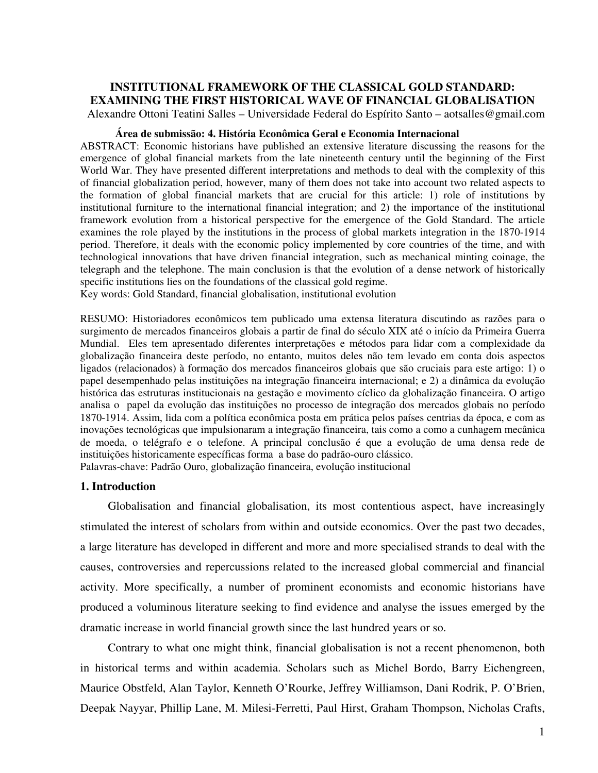## **INSTITUTIONAL FRAMEWORK OF THE CLASSICAL GOLD STANDARD: EXAMINING THE FIRST HISTORICAL WAVE OF FINANCIAL GLOBALISATION**

Alexandre Ottoni Teatini Salles – Universidade Federal do Espírito Santo – aotsalles@gmail.com

### **Área de submissão: 4. História Econômica Geral e Economia Internacional**

ABSTRACT: Economic historians have published an extensive literature discussing the reasons for the emergence of global financial markets from the late nineteenth century until the beginning of the First World War. They have presented different interpretations and methods to deal with the complexity of this of financial globalization period, however, many of them does not take into account two related aspects to the formation of global financial markets that are crucial for this article: 1) role of institutions by institutional furniture to the international financial integration; and 2) the importance of the institutional framework evolution from a historical perspective for the emergence of the Gold Standard. The article examines the role played by the institutions in the process of global markets integration in the 1870-1914 period. Therefore, it deals with the economic policy implemented by core countries of the time, and with technological innovations that have driven financial integration, such as mechanical minting coinage, the telegraph and the telephone. The main conclusion is that the evolution of a dense network of historically specific institutions lies on the foundations of the classical gold regime.

Key words: Gold Standard, financial globalisation, institutional evolution

RESUMO: Historiadores econômicos tem publicado uma extensa literatura discutindo as razões para o surgimento de mercados financeiros globais a partir de final do século XIX até o início da Primeira Guerra Mundial. Eles tem apresentado diferentes interpretações e métodos para lidar com a complexidade da globalização financeira deste período, no entanto, muitos deles não tem levado em conta dois aspectos ligados (relacionados) à formação dos mercados financeiros globais que são cruciais para este artigo: 1) o papel desempenhado pelas instituições na integração financeira internacional; e 2) a dinâmica da evolução histórica das estruturas institucionais na gestação e movimento cíclico da globalização financeira. O artigo analisa o papel da evolução das instituições no processo de integração dos mercados globais no período 1870-1914. Assim, lida com a política econômica posta em prática pelos países centrias da época, e com as inovações tecnológicas que impulsionaram a integração financeira, tais como a como a cunhagem mecânica de moeda, o telégrafo e o telefone. A principal conclusão é que a evolução de uma densa rede de instituições historicamente específicas forma a base do padrão-ouro clássico.

Palavras-chave: Padrão Ouro, globalização financeira, evolução institucional

### **1. Introduction**

Globalisation and financial globalisation, its most contentious aspect, have increasingly stimulated the interest of scholars from within and outside economics. Over the past two decades, a large literature has developed in different and more and more specialised strands to deal with the causes, controversies and repercussions related to the increased global commercial and financial activity. More specifically, a number of prominent economists and economic historians have produced a voluminous literature seeking to find evidence and analyse the issues emerged by the dramatic increase in world financial growth since the last hundred years or so.

Contrary to what one might think, financial globalisation is not a recent phenomenon, both in historical terms and within academia. Scholars such as Michel Bordo, Barry Eichengreen, Maurice Obstfeld, Alan Taylor, Kenneth O'Rourke, Jeffrey Williamson, Dani Rodrik, P. O'Brien, Deepak Nayyar, Phillip Lane, M. Milesi-Ferretti, Paul Hirst, Graham Thompson, Nicholas Crafts,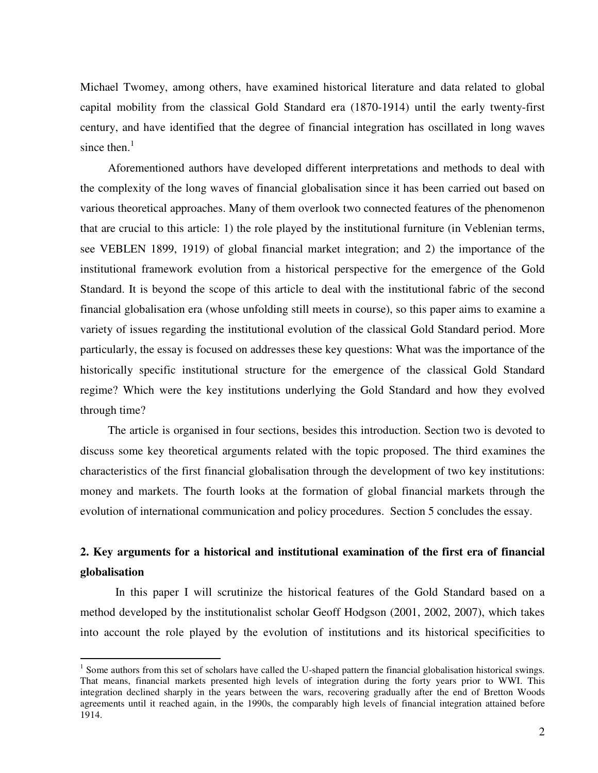Michael Twomey, among others, have examined historical literature and data related to global capital mobility from the classical Gold Standard era (1870-1914) until the early twenty-first century, and have identified that the degree of financial integration has oscillated in long waves since then. $<sup>1</sup>$ </sup>

Aforementioned authors have developed different interpretations and methods to deal with the complexity of the long waves of financial globalisation since it has been carried out based on various theoretical approaches. Many of them overlook two connected features of the phenomenon that are crucial to this article: 1) the role played by the institutional furniture (in Veblenian terms, see VEBLEN 1899, 1919) of global financial market integration; and 2) the importance of the institutional framework evolution from a historical perspective for the emergence of the Gold Standard. It is beyond the scope of this article to deal with the institutional fabric of the second financial globalisation era (whose unfolding still meets in course), so this paper aims to examine a variety of issues regarding the institutional evolution of the classical Gold Standard period. More particularly, the essay is focused on addresses these key questions: What was the importance of the historically specific institutional structure for the emergence of the classical Gold Standard regime? Which were the key institutions underlying the Gold Standard and how they evolved through time?

The article is organised in four sections, besides this introduction. Section two is devoted to discuss some key theoretical arguments related with the topic proposed. The third examines the characteristics of the first financial globalisation through the development of two key institutions: money and markets. The fourth looks at the formation of global financial markets through the evolution of international communication and policy procedures. Section 5 concludes the essay.

# **2. Key arguments for a historical and institutional examination of the first era of financial globalisation**

In this paper I will scrutinize the historical features of the Gold Standard based on a method developed by the institutionalist scholar Geoff Hodgson (2001, 2002, 2007), which takes into account the role played by the evolution of institutions and its historical specificities to

<sup>&</sup>lt;sup>1</sup> Some authors from this set of scholars have called the U-shaped pattern the financial globalisation historical swings. That means, financial markets presented high levels of integration during the forty years prior to WWI. This integration declined sharply in the years between the wars, recovering gradually after the end of Bretton Woods agreements until it reached again, in the 1990s, the comparably high levels of financial integration attained before 1914.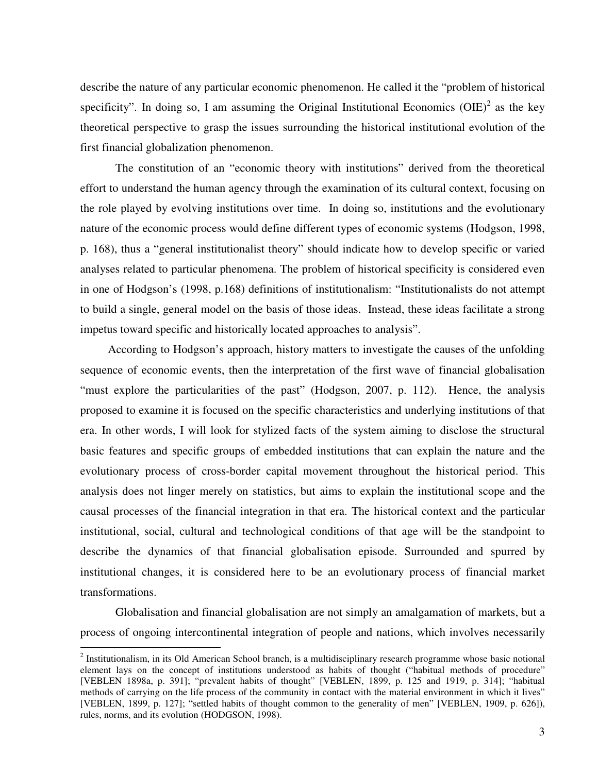describe the nature of any particular economic phenomenon. He called it the "problem of historical specificity". In doing so, I am assuming the Original Institutional Economics  $(OIE)^2$  as the key theoretical perspective to grasp the issues surrounding the historical institutional evolution of the first financial globalization phenomenon.

The constitution of an "economic theory with institutions" derived from the theoretical effort to understand the human agency through the examination of its cultural context, focusing on the role played by evolving institutions over time. In doing so, institutions and the evolutionary nature of the economic process would define different types of economic systems (Hodgson, 1998, p. 168), thus a "general institutionalist theory" should indicate how to develop specific or varied analyses related to particular phenomena. The problem of historical specificity is considered even in one of Hodgson's (1998, p.168) definitions of institutionalism: "Institutionalists do not attempt to build a single, general model on the basis of those ideas. Instead, these ideas facilitate a strong impetus toward specific and historically located approaches to analysis".

According to Hodgson's approach, history matters to investigate the causes of the unfolding sequence of economic events, then the interpretation of the first wave of financial globalisation "must explore the particularities of the past" (Hodgson, 2007, p. 112). Hence, the analysis proposed to examine it is focused on the specific characteristics and underlying institutions of that era. In other words, I will look for stylized facts of the system aiming to disclose the structural basic features and specific groups of embedded institutions that can explain the nature and the evolutionary process of cross-border capital movement throughout the historical period. This analysis does not linger merely on statistics, but aims to explain the institutional scope and the causal processes of the financial integration in that era. The historical context and the particular institutional, social, cultural and technological conditions of that age will be the standpoint to describe the dynamics of that financial globalisation episode. Surrounded and spurred by institutional changes, it is considered here to be an evolutionary process of financial market transformations.

Globalisation and financial globalisation are not simply an amalgamation of markets, but a process of ongoing intercontinental integration of people and nations, which involves necessarily

 $2$  Institutionalism, in its Old American School branch, is a multidisciplinary research programme whose basic notional element lays on the concept of institutions understood as habits of thought ("habitual methods of procedure" [VEBLEN 1898a, p. 391]; "prevalent habits of thought" [VEBLEN, 1899, p. 125 and 1919, p. 314]; "habitual methods of carrying on the life process of the community in contact with the material environment in which it lives" [VEBLEN, 1899, p. 127]; "settled habits of thought common to the generality of men" [VEBLEN, 1909, p. 626]), rules, norms, and its evolution (HODGSON, 1998).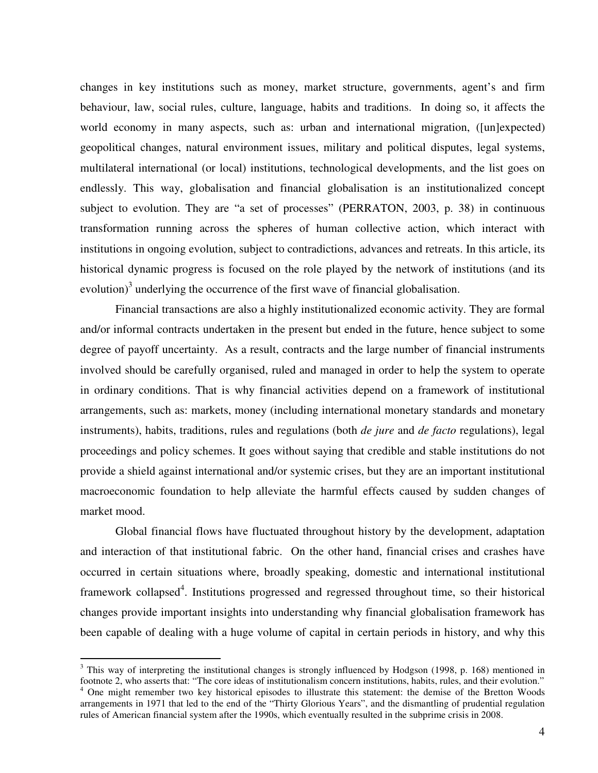changes in key institutions such as money, market structure, governments, agent's and firm behaviour, law, social rules, culture, language, habits and traditions. In doing so, it affects the world economy in many aspects, such as: urban and international migration, ([un]expected) geopolitical changes, natural environment issues, military and political disputes, legal systems, multilateral international (or local) institutions, technological developments, and the list goes on endlessly. This way, globalisation and financial globalisation is an institutionalized concept subject to evolution. They are "a set of processes" (PERRATON, 2003, p. 38) in continuous transformation running across the spheres of human collective action, which interact with institutions in ongoing evolution, subject to contradictions, advances and retreats. In this article, its historical dynamic progress is focused on the role played by the network of institutions (and its evolution)<sup>3</sup> underlying the occurrence of the first wave of financial globalisation.

Financial transactions are also a highly institutionalized economic activity. They are formal and/or informal contracts undertaken in the present but ended in the future, hence subject to some degree of payoff uncertainty. As a result, contracts and the large number of financial instruments involved should be carefully organised, ruled and managed in order to help the system to operate in ordinary conditions. That is why financial activities depend on a framework of institutional arrangements, such as: markets, money (including international monetary standards and monetary instruments), habits, traditions, rules and regulations (both *de jure* and *de facto* regulations), legal proceedings and policy schemes. It goes without saying that credible and stable institutions do not provide a shield against international and/or systemic crises, but they are an important institutional macroeconomic foundation to help alleviate the harmful effects caused by sudden changes of market mood.

Global financial flows have fluctuated throughout history by the development, adaptation and interaction of that institutional fabric. On the other hand, financial crises and crashes have occurred in certain situations where, broadly speaking, domestic and international institutional framework collapsed<sup>4</sup>. Institutions progressed and regressed throughout time, so their historical changes provide important insights into understanding why financial globalisation framework has been capable of dealing with a huge volume of capital in certain periods in history, and why this

<sup>&</sup>lt;sup>3</sup> This way of interpreting the institutional changes is strongly influenced by Hodgson (1998, p. 168) mentioned in footnote 2, who asserts that: "The core ideas of institutionalism concern institutions, habits, rules, and their evolution." 4 One might remember two key historical episodes to illustrate this statement: the demise of the Bretton Woods arrangements in 1971 that led to the end of the "Thirty Glorious Years", and the dismantling of prudential regulation rules of American financial system after the 1990s, which eventually resulted in the subprime crisis in 2008.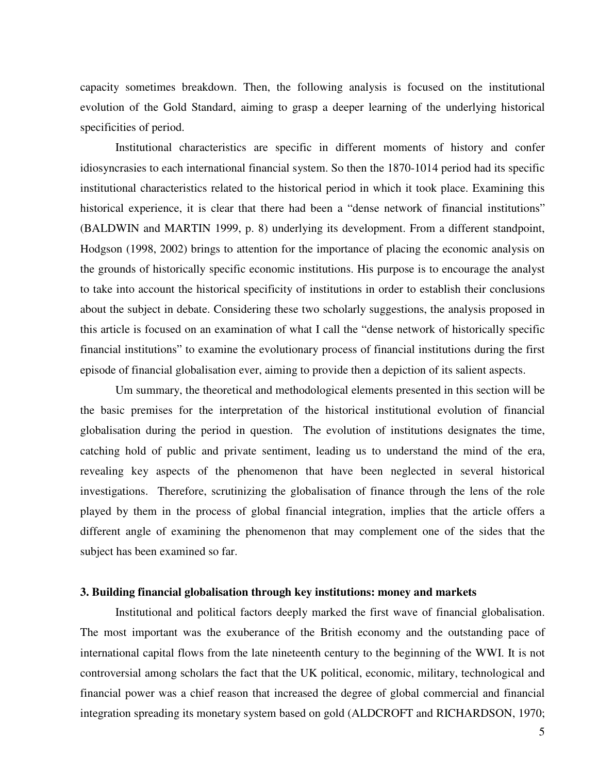capacity sometimes breakdown. Then, the following analysis is focused on the institutional evolution of the Gold Standard, aiming to grasp a deeper learning of the underlying historical specificities of period.

Institutional characteristics are specific in different moments of history and confer idiosyncrasies to each international financial system. So then the 1870-1014 period had its specific institutional characteristics related to the historical period in which it took place. Examining this historical experience, it is clear that there had been a "dense network of financial institutions" (BALDWIN and MARTIN 1999, p. 8) underlying its development. From a different standpoint, Hodgson (1998, 2002) brings to attention for the importance of placing the economic analysis on the grounds of historically specific economic institutions. His purpose is to encourage the analyst to take into account the historical specificity of institutions in order to establish their conclusions about the subject in debate. Considering these two scholarly suggestions, the analysis proposed in this article is focused on an examination of what I call the "dense network of historically specific financial institutions" to examine the evolutionary process of financial institutions during the first episode of financial globalisation ever, aiming to provide then a depiction of its salient aspects.

Um summary, the theoretical and methodological elements presented in this section will be the basic premises for the interpretation of the historical institutional evolution of financial globalisation during the period in question. The evolution of institutions designates the time, catching hold of public and private sentiment, leading us to understand the mind of the era, revealing key aspects of the phenomenon that have been neglected in several historical investigations. Therefore, scrutinizing the globalisation of finance through the lens of the role played by them in the process of global financial integration, implies that the article offers a different angle of examining the phenomenon that may complement one of the sides that the subject has been examined so far.

#### **3. Building financial globalisation through key institutions: money and markets**

Institutional and political factors deeply marked the first wave of financial globalisation. The most important was the exuberance of the British economy and the outstanding pace of international capital flows from the late nineteenth century to the beginning of the WWI. It is not controversial among scholars the fact that the UK political, economic, military, technological and financial power was a chief reason that increased the degree of global commercial and financial integration spreading its monetary system based on gold (ALDCROFT and RICHARDSON, 1970;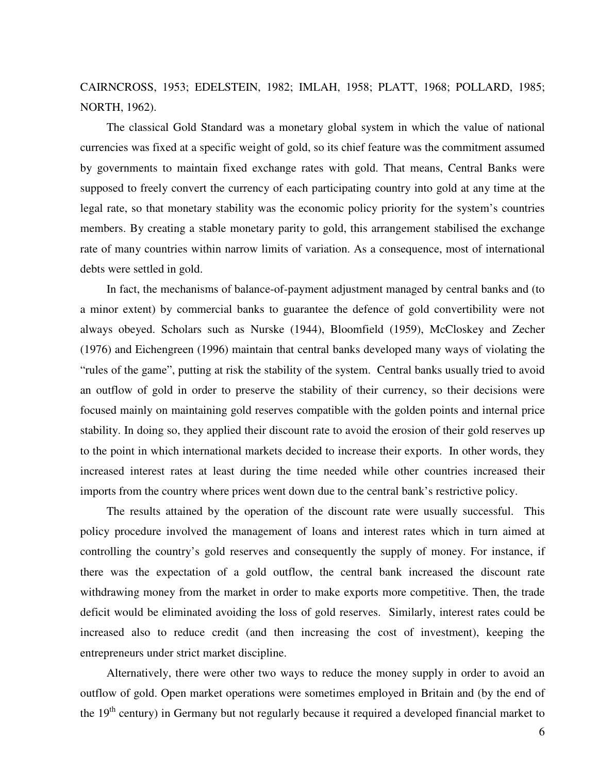CAIRNCROSS, 1953; EDELSTEIN, 1982; IMLAH, 1958; PLATT, 1968; POLLARD, 1985; NORTH, 1962).

The classical Gold Standard was a monetary global system in which the value of national currencies was fixed at a specific weight of gold, so its chief feature was the commitment assumed by governments to maintain fixed exchange rates with gold. That means, Central Banks were supposed to freely convert the currency of each participating country into gold at any time at the legal rate, so that monetary stability was the economic policy priority for the system's countries members. By creating a stable monetary parity to gold, this arrangement stabilised the exchange rate of many countries within narrow limits of variation. As a consequence, most of international debts were settled in gold.

In fact, the mechanisms of balance-of-payment adjustment managed by central banks and (to a minor extent) by commercial banks to guarantee the defence of gold convertibility were not always obeyed. Scholars such as Nurske (1944), Bloomfield (1959), McCloskey and Zecher (1976) and Eichengreen (1996) maintain that central banks developed many ways of violating the "rules of the game", putting at risk the stability of the system. Central banks usually tried to avoid an outflow of gold in order to preserve the stability of their currency, so their decisions were focused mainly on maintaining gold reserves compatible with the golden points and internal price stability. In doing so, they applied their discount rate to avoid the erosion of their gold reserves up to the point in which international markets decided to increase their exports. In other words, they increased interest rates at least during the time needed while other countries increased their imports from the country where prices went down due to the central bank's restrictive policy.

The results attained by the operation of the discount rate were usually successful. This policy procedure involved the management of loans and interest rates which in turn aimed at controlling the country's gold reserves and consequently the supply of money. For instance, if there was the expectation of a gold outflow, the central bank increased the discount rate withdrawing money from the market in order to make exports more competitive. Then, the trade deficit would be eliminated avoiding the loss of gold reserves. Similarly, interest rates could be increased also to reduce credit (and then increasing the cost of investment), keeping the entrepreneurs under strict market discipline.

Alternatively, there were other two ways to reduce the money supply in order to avoid an outflow of gold. Open market operations were sometimes employed in Britain and (by the end of the 19<sup>th</sup> century) in Germany but not regularly because it required a developed financial market to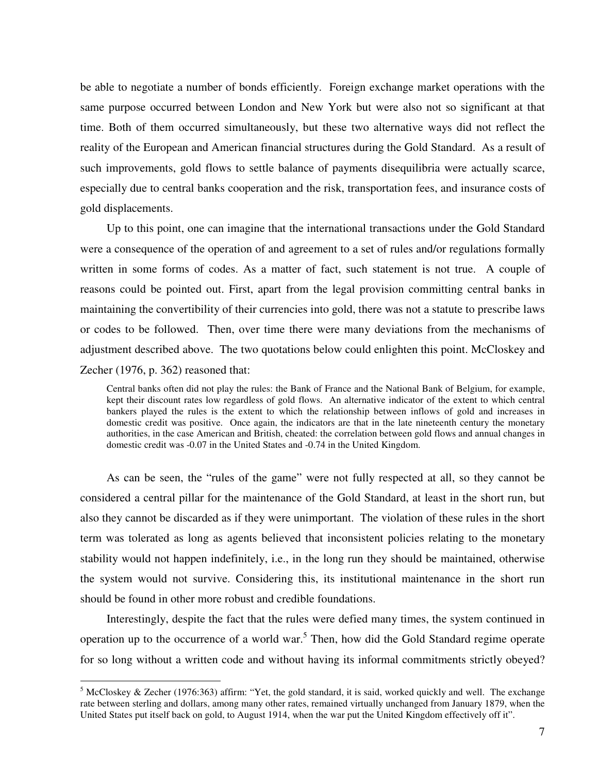be able to negotiate a number of bonds efficiently. Foreign exchange market operations with the same purpose occurred between London and New York but were also not so significant at that time. Both of them occurred simultaneously, but these two alternative ways did not reflect the reality of the European and American financial structures during the Gold Standard. As a result of such improvements, gold flows to settle balance of payments disequilibria were actually scarce, especially due to central banks cooperation and the risk, transportation fees, and insurance costs of gold displacements.

Up to this point, one can imagine that the international transactions under the Gold Standard were a consequence of the operation of and agreement to a set of rules and/or regulations formally written in some forms of codes. As a matter of fact, such statement is not true. A couple of reasons could be pointed out. First, apart from the legal provision committing central banks in maintaining the convertibility of their currencies into gold, there was not a statute to prescribe laws or codes to be followed. Then, over time there were many deviations from the mechanisms of adjustment described above. The two quotations below could enlighten this point. McCloskey and Zecher (1976, p. 362) reasoned that:

Central banks often did not play the rules: the Bank of France and the National Bank of Belgium, for example, kept their discount rates low regardless of gold flows. An alternative indicator of the extent to which central bankers played the rules is the extent to which the relationship between inflows of gold and increases in domestic credit was positive. Once again, the indicators are that in the late nineteenth century the monetary authorities, in the case American and British, cheated: the correlation between gold flows and annual changes in domestic credit was -0.07 in the United States and -0.74 in the United Kingdom.

As can be seen, the "rules of the game" were not fully respected at all, so they cannot be considered a central pillar for the maintenance of the Gold Standard, at least in the short run, but also they cannot be discarded as if they were unimportant. The violation of these rules in the short term was tolerated as long as agents believed that inconsistent policies relating to the monetary stability would not happen indefinitely, i.e., in the long run they should be maintained, otherwise the system would not survive. Considering this, its institutional maintenance in the short run should be found in other more robust and credible foundations.

Interestingly, despite the fact that the rules were defied many times, the system continued in operation up to the occurrence of a world war.<sup>5</sup> Then, how did the Gold Standard regime operate for so long without a written code and without having its informal commitments strictly obeyed?

<sup>&</sup>lt;sup>5</sup> McCloskey & Zecher (1976:363) affirm: "Yet, the gold standard, it is said, worked quickly and well. The exchange rate between sterling and dollars, among many other rates, remained virtually unchanged from January 1879, when the United States put itself back on gold, to August 1914, when the war put the United Kingdom effectively off it".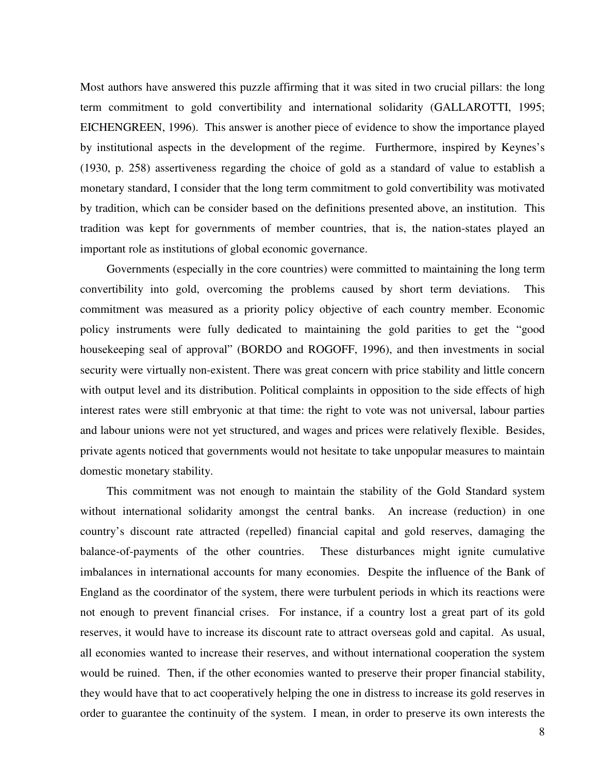Most authors have answered this puzzle affirming that it was sited in two crucial pillars: the long term commitment to gold convertibility and international solidarity (GALLAROTTI, 1995; EICHENGREEN, 1996). This answer is another piece of evidence to show the importance played by institutional aspects in the development of the regime. Furthermore, inspired by Keynes's (1930, p. 258) assertiveness regarding the choice of gold as a standard of value to establish a monetary standard, I consider that the long term commitment to gold convertibility was motivated by tradition, which can be consider based on the definitions presented above, an institution. This tradition was kept for governments of member countries, that is, the nation-states played an important role as institutions of global economic governance.

Governments (especially in the core countries) were committed to maintaining the long term convertibility into gold, overcoming the problems caused by short term deviations. This commitment was measured as a priority policy objective of each country member. Economic policy instruments were fully dedicated to maintaining the gold parities to get the "good housekeeping seal of approval" (BORDO and ROGOFF, 1996), and then investments in social security were virtually non-existent. There was great concern with price stability and little concern with output level and its distribution. Political complaints in opposition to the side effects of high interest rates were still embryonic at that time: the right to vote was not universal, labour parties and labour unions were not yet structured, and wages and prices were relatively flexible. Besides, private agents noticed that governments would not hesitate to take unpopular measures to maintain domestic monetary stability.

This commitment was not enough to maintain the stability of the Gold Standard system without international solidarity amongst the central banks. An increase (reduction) in one country's discount rate attracted (repelled) financial capital and gold reserves, damaging the balance-of-payments of the other countries. These disturbances might ignite cumulative imbalances in international accounts for many economies. Despite the influence of the Bank of England as the coordinator of the system, there were turbulent periods in which its reactions were not enough to prevent financial crises. For instance, if a country lost a great part of its gold reserves, it would have to increase its discount rate to attract overseas gold and capital. As usual, all economies wanted to increase their reserves, and without international cooperation the system would be ruined. Then, if the other economies wanted to preserve their proper financial stability, they would have that to act cooperatively helping the one in distress to increase its gold reserves in order to guarantee the continuity of the system. I mean, in order to preserve its own interests the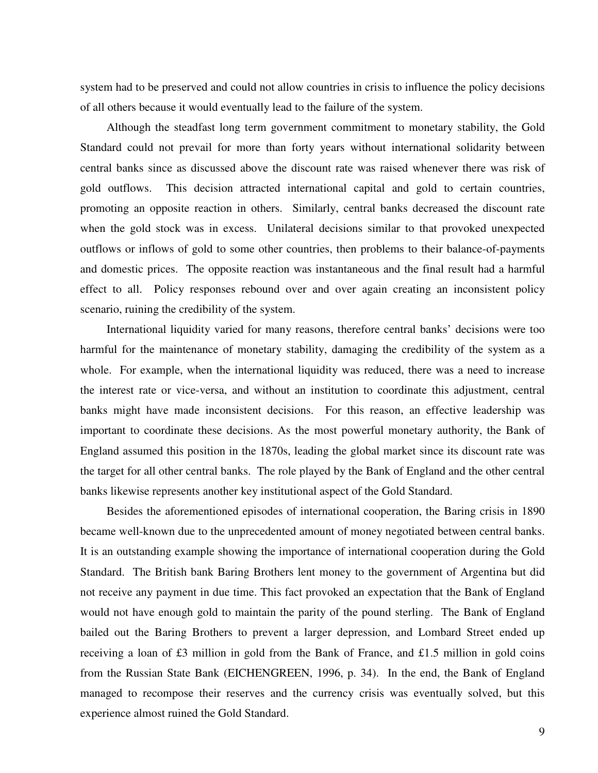system had to be preserved and could not allow countries in crisis to influence the policy decisions of all others because it would eventually lead to the failure of the system.

Although the steadfast long term government commitment to monetary stability, the Gold Standard could not prevail for more than forty years without international solidarity between central banks since as discussed above the discount rate was raised whenever there was risk of gold outflows. This decision attracted international capital and gold to certain countries, promoting an opposite reaction in others. Similarly, central banks decreased the discount rate when the gold stock was in excess. Unilateral decisions similar to that provoked unexpected outflows or inflows of gold to some other countries, then problems to their balance-of-payments and domestic prices. The opposite reaction was instantaneous and the final result had a harmful effect to all. Policy responses rebound over and over again creating an inconsistent policy scenario, ruining the credibility of the system.

International liquidity varied for many reasons, therefore central banks' decisions were too harmful for the maintenance of monetary stability, damaging the credibility of the system as a whole. For example, when the international liquidity was reduced, there was a need to increase the interest rate or vice-versa, and without an institution to coordinate this adjustment, central banks might have made inconsistent decisions. For this reason, an effective leadership was important to coordinate these decisions. As the most powerful monetary authority, the Bank of England assumed this position in the 1870s, leading the global market since its discount rate was the target for all other central banks. The role played by the Bank of England and the other central banks likewise represents another key institutional aspect of the Gold Standard.

Besides the aforementioned episodes of international cooperation, the Baring crisis in 1890 became well-known due to the unprecedented amount of money negotiated between central banks. It is an outstanding example showing the importance of international cooperation during the Gold Standard. The British bank Baring Brothers lent money to the government of Argentina but did not receive any payment in due time. This fact provoked an expectation that the Bank of England would not have enough gold to maintain the parity of the pound sterling. The Bank of England bailed out the Baring Brothers to prevent a larger depression, and Lombard Street ended up receiving a loan of £3 million in gold from the Bank of France, and £1.5 million in gold coins from the Russian State Bank (EICHENGREEN, 1996, p. 34). In the end, the Bank of England managed to recompose their reserves and the currency crisis was eventually solved, but this experience almost ruined the Gold Standard.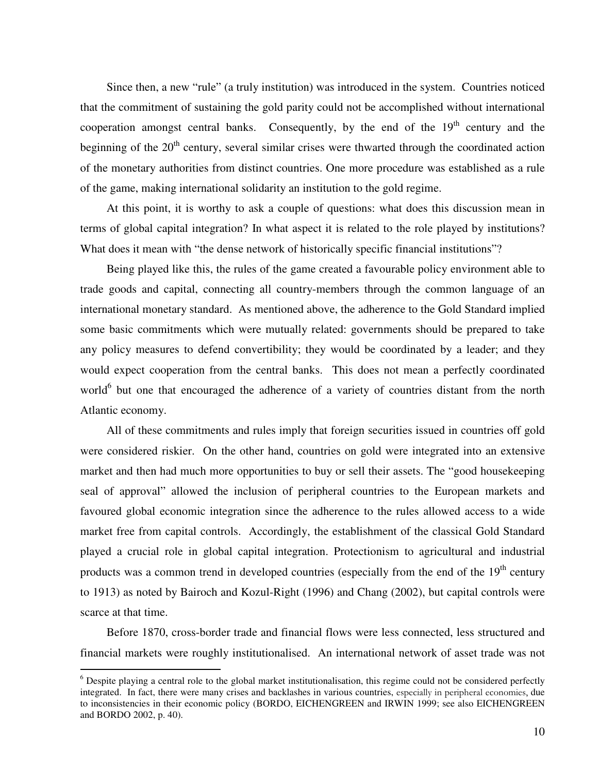Since then, a new "rule" (a truly institution) was introduced in the system. Countries noticed that the commitment of sustaining the gold parity could not be accomplished without international cooperation amongst central banks. Consequently, by the end of the  $19<sup>th</sup>$  century and the beginning of the  $20<sup>th</sup>$  century, several similar crises were thwarted through the coordinated action of the monetary authorities from distinct countries. One more procedure was established as a rule of the game, making international solidarity an institution to the gold regime.

At this point, it is worthy to ask a couple of questions: what does this discussion mean in terms of global capital integration? In what aspect it is related to the role played by institutions? What does it mean with "the dense network of historically specific financial institutions"?

Being played like this, the rules of the game created a favourable policy environment able to trade goods and capital, connecting all country-members through the common language of an international monetary standard. As mentioned above, the adherence to the Gold Standard implied some basic commitments which were mutually related: governments should be prepared to take any policy measures to defend convertibility; they would be coordinated by a leader; and they would expect cooperation from the central banks. This does not mean a perfectly coordinated world<sup>6</sup> but one that encouraged the adherence of a variety of countries distant from the north Atlantic economy.

All of these commitments and rules imply that foreign securities issued in countries off gold were considered riskier. On the other hand, countries on gold were integrated into an extensive market and then had much more opportunities to buy or sell their assets. The "good housekeeping seal of approval" allowed the inclusion of peripheral countries to the European markets and favoured global economic integration since the adherence to the rules allowed access to a wide market free from capital controls. Accordingly, the establishment of the classical Gold Standard played a crucial role in global capital integration. Protectionism to agricultural and industrial products was a common trend in developed countries (especially from the end of the  $19<sup>th</sup>$  century to 1913) as noted by Bairoch and Kozul-Right (1996) and Chang (2002), but capital controls were scarce at that time.

Before 1870, cross-border trade and financial flows were less connected, less structured and financial markets were roughly institutionalised. An international network of asset trade was not

<sup>&</sup>lt;sup>6</sup> Despite playing a central role to the global market institutionalisation, this regime could not be considered perfectly integrated. In fact, there were many crises and backlashes in various countries, especially in peripheral economies, due to inconsistencies in their economic policy (BORDO, EICHENGREEN and IRWIN 1999; see also EICHENGREEN and BORDO 2002, p. 40).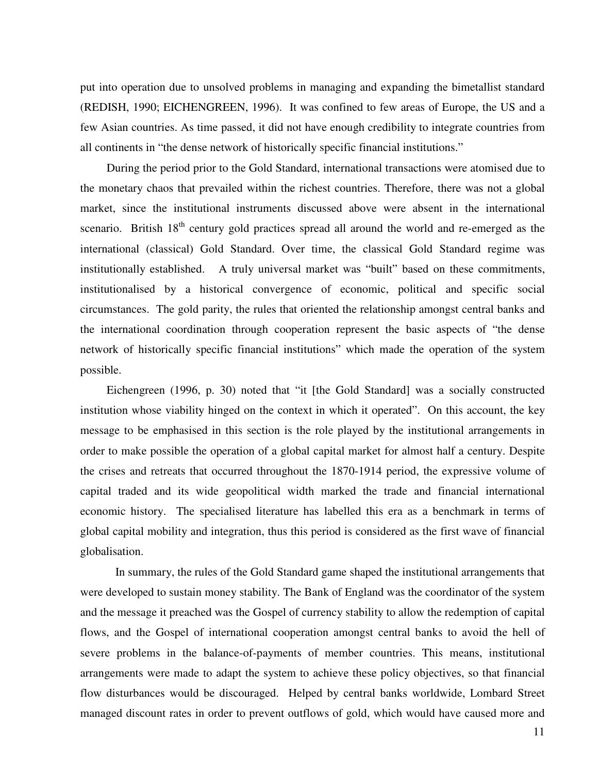put into operation due to unsolved problems in managing and expanding the bimetallist standard (REDISH, 1990; EICHENGREEN, 1996). It was confined to few areas of Europe, the US and a few Asian countries. As time passed, it did not have enough credibility to integrate countries from all continents in "the dense network of historically specific financial institutions."

During the period prior to the Gold Standard, international transactions were atomised due to the monetary chaos that prevailed within the richest countries. Therefore, there was not a global market, since the institutional instruments discussed above were absent in the international scenario. British 18<sup>th</sup> century gold practices spread all around the world and re-emerged as the international (classical) Gold Standard. Over time, the classical Gold Standard regime was institutionally established. A truly universal market was "built" based on these commitments, institutionalised by a historical convergence of economic, political and specific social circumstances. The gold parity, the rules that oriented the relationship amongst central banks and the international coordination through cooperation represent the basic aspects of "the dense network of historically specific financial institutions" which made the operation of the system possible.

Eichengreen (1996, p. 30) noted that "it [the Gold Standard] was a socially constructed institution whose viability hinged on the context in which it operated". On this account, the key message to be emphasised in this section is the role played by the institutional arrangements in order to make possible the operation of a global capital market for almost half a century. Despite the crises and retreats that occurred throughout the 1870-1914 period, the expressive volume of capital traded and its wide geopolitical width marked the trade and financial international economic history. The specialised literature has labelled this era as a benchmark in terms of global capital mobility and integration, thus this period is considered as the first wave of financial globalisation.

In summary, the rules of the Gold Standard game shaped the institutional arrangements that were developed to sustain money stability. The Bank of England was the coordinator of the system and the message it preached was the Gospel of currency stability to allow the redemption of capital flows, and the Gospel of international cooperation amongst central banks to avoid the hell of severe problems in the balance-of-payments of member countries. This means, institutional arrangements were made to adapt the system to achieve these policy objectives, so that financial flow disturbances would be discouraged. Helped by central banks worldwide, Lombard Street managed discount rates in order to prevent outflows of gold, which would have caused more and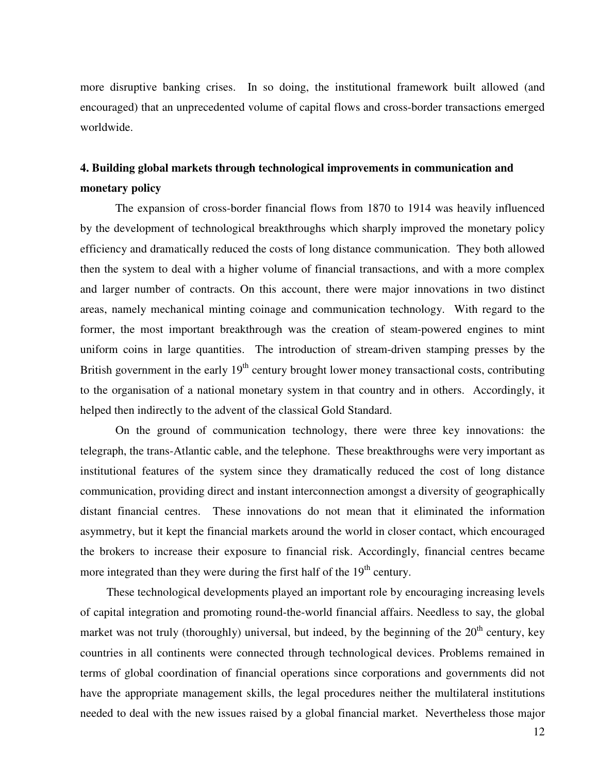more disruptive banking crises. In so doing, the institutional framework built allowed (and encouraged) that an unprecedented volume of capital flows and cross-border transactions emerged worldwide.

# **4. Building global markets through technological improvements in communication and monetary policy**

The expansion of cross-border financial flows from 1870 to 1914 was heavily influenced by the development of technological breakthroughs which sharply improved the monetary policy efficiency and dramatically reduced the costs of long distance communication. They both allowed then the system to deal with a higher volume of financial transactions, and with a more complex and larger number of contracts. On this account, there were major innovations in two distinct areas, namely mechanical minting coinage and communication technology. With regard to the former, the most important breakthrough was the creation of steam-powered engines to mint uniform coins in large quantities. The introduction of stream-driven stamping presses by the British government in the early  $19<sup>th</sup>$  century brought lower money transactional costs, contributing to the organisation of a national monetary system in that country and in others. Accordingly, it helped then indirectly to the advent of the classical Gold Standard.

On the ground of communication technology, there were three key innovations: the telegraph, the trans-Atlantic cable, and the telephone. These breakthroughs were very important as institutional features of the system since they dramatically reduced the cost of long distance communication, providing direct and instant interconnection amongst a diversity of geographically distant financial centres. These innovations do not mean that it eliminated the information asymmetry, but it kept the financial markets around the world in closer contact, which encouraged the brokers to increase their exposure to financial risk. Accordingly, financial centres became more integrated than they were during the first half of the  $19<sup>th</sup>$  century.

These technological developments played an important role by encouraging increasing levels of capital integration and promoting round-the-world financial affairs. Needless to say, the global market was not truly (thoroughly) universal, but indeed, by the beginning of the  $20<sup>th</sup>$  century, key countries in all continents were connected through technological devices. Problems remained in terms of global coordination of financial operations since corporations and governments did not have the appropriate management skills, the legal procedures neither the multilateral institutions needed to deal with the new issues raised by a global financial market. Nevertheless those major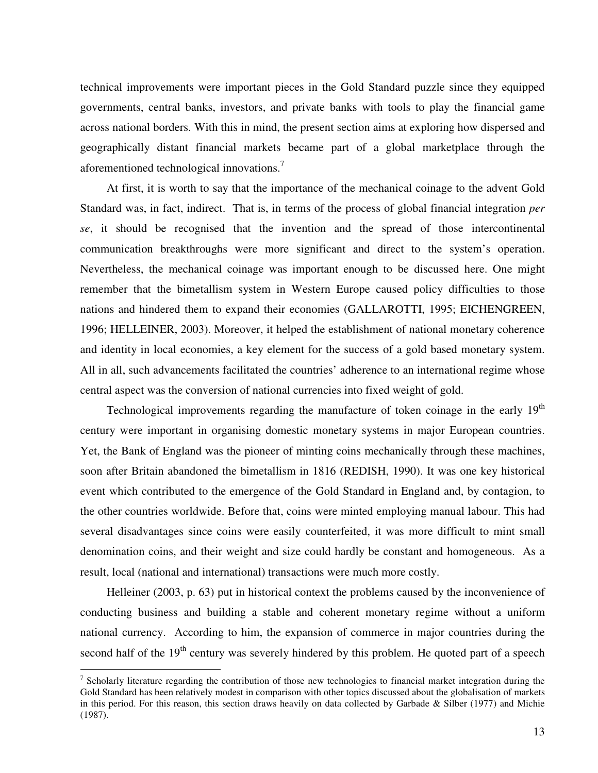technical improvements were important pieces in the Gold Standard puzzle since they equipped governments, central banks, investors, and private banks with tools to play the financial game across national borders. With this in mind, the present section aims at exploring how dispersed and geographically distant financial markets became part of a global marketplace through the aforementioned technological innovations.<sup>7</sup>

At first, it is worth to say that the importance of the mechanical coinage to the advent Gold Standard was, in fact, indirect. That is, in terms of the process of global financial integration *per se*, it should be recognised that the invention and the spread of those intercontinental communication breakthroughs were more significant and direct to the system's operation. Nevertheless, the mechanical coinage was important enough to be discussed here. One might remember that the bimetallism system in Western Europe caused policy difficulties to those nations and hindered them to expand their economies (GALLAROTTI, 1995; EICHENGREEN, 1996; HELLEINER, 2003). Moreover, it helped the establishment of national monetary coherence and identity in local economies, a key element for the success of a gold based monetary system. All in all, such advancements facilitated the countries' adherence to an international regime whose central aspect was the conversion of national currencies into fixed weight of gold.

Technological improvements regarding the manufacture of token coinage in the early 19<sup>th</sup> century were important in organising domestic monetary systems in major European countries. Yet, the Bank of England was the pioneer of minting coins mechanically through these machines, soon after Britain abandoned the bimetallism in 1816 (REDISH, 1990). It was one key historical event which contributed to the emergence of the Gold Standard in England and, by contagion, to the other countries worldwide. Before that, coins were minted employing manual labour. This had several disadvantages since coins were easily counterfeited, it was more difficult to mint small denomination coins, and their weight and size could hardly be constant and homogeneous. As a result, local (national and international) transactions were much more costly.

Helleiner (2003, p. 63) put in historical context the problems caused by the inconvenience of conducting business and building a stable and coherent monetary regime without a uniform national currency. According to him, the expansion of commerce in major countries during the second half of the 19<sup>th</sup> century was severely hindered by this problem. He quoted part of a speech

<sup>&</sup>lt;sup>7</sup> Scholarly literature regarding the contribution of those new technologies to financial market integration during the Gold Standard has been relatively modest in comparison with other topics discussed about the globalisation of markets in this period. For this reason, this section draws heavily on data collected by Garbade & Silber (1977) and Michie (1987).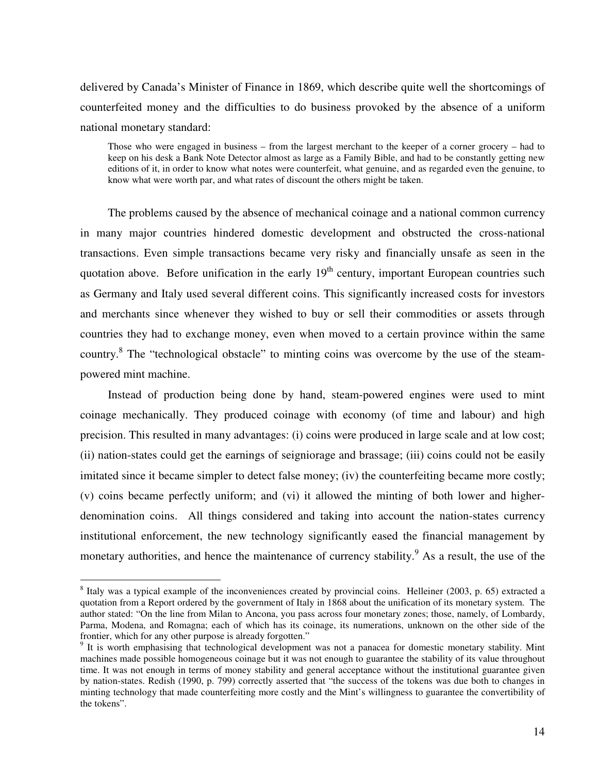delivered by Canada's Minister of Finance in 1869, which describe quite well the shortcomings of counterfeited money and the difficulties to do business provoked by the absence of a uniform national monetary standard:

Those who were engaged in business – from the largest merchant to the keeper of a corner grocery – had to keep on his desk a Bank Note Detector almost as large as a Family Bible, and had to be constantly getting new editions of it, in order to know what notes were counterfeit, what genuine, and as regarded even the genuine, to know what were worth par, and what rates of discount the others might be taken.

The problems caused by the absence of mechanical coinage and a national common currency in many major countries hindered domestic development and obstructed the cross-national transactions. Even simple transactions became very risky and financially unsafe as seen in the quotation above. Before unification in the early 19<sup>th</sup> century, important European countries such as Germany and Italy used several different coins. This significantly increased costs for investors and merchants since whenever they wished to buy or sell their commodities or assets through countries they had to exchange money, even when moved to a certain province within the same country.<sup>8</sup> The "technological obstacle" to minting coins was overcome by the use of the steampowered mint machine.

Instead of production being done by hand, steam-powered engines were used to mint coinage mechanically. They produced coinage with economy (of time and labour) and high precision. This resulted in many advantages: (i) coins were produced in large scale and at low cost; (ii) nation-states could get the earnings of seigniorage and brassage; (iii) coins could not be easily imitated since it became simpler to detect false money; (iv) the counterfeiting became more costly; (v) coins became perfectly uniform; and (vi) it allowed the minting of both lower and higherdenomination coins. All things considered and taking into account the nation-states currency institutional enforcement, the new technology significantly eased the financial management by monetary authorities, and hence the maintenance of currency stability.<sup>9</sup> As a result, the use of the

<sup>&</sup>lt;sup>8</sup> Italy was a typical example of the inconveniences created by provincial coins. Helleiner (2003, p. 65) extracted a quotation from a Report ordered by the government of Italy in 1868 about the unification of its monetary system. The author stated: "On the line from Milan to Ancona, you pass across four monetary zones; those, namely, of Lombardy, Parma, Modena, and Romagna; each of which has its coinage, its numerations, unknown on the other side of the frontier, which for any other purpose is already forgotten."

<sup>&</sup>lt;sup>9</sup> It is worth emphasising that technological development was not a panacea for domestic monetary stability. Mint machines made possible homogeneous coinage but it was not enough to guarantee the stability of its value throughout time. It was not enough in terms of money stability and general acceptance without the institutional guarantee given by nation-states. Redish (1990, p. 799) correctly asserted that "the success of the tokens was due both to changes in minting technology that made counterfeiting more costly and the Mint's willingness to guarantee the convertibility of the tokens".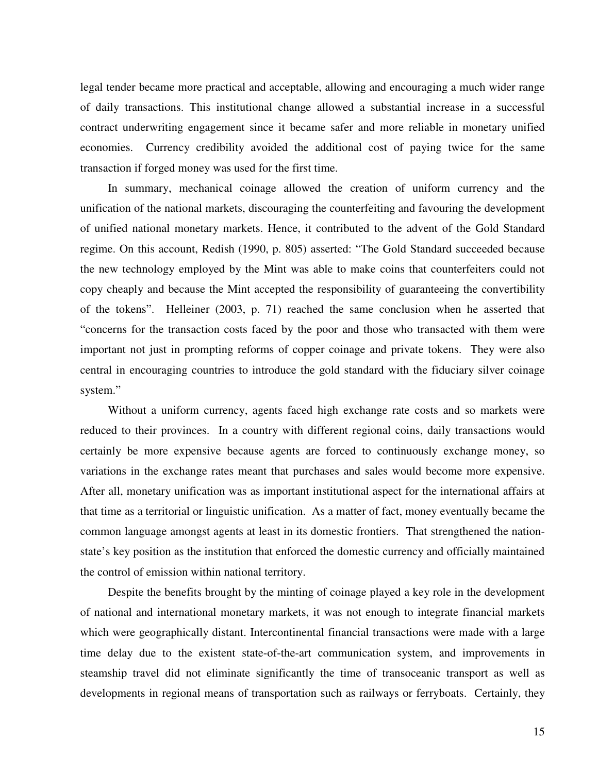legal tender became more practical and acceptable, allowing and encouraging a much wider range of daily transactions. This institutional change allowed a substantial increase in a successful contract underwriting engagement since it became safer and more reliable in monetary unified economies. Currency credibility avoided the additional cost of paying twice for the same transaction if forged money was used for the first time.

In summary, mechanical coinage allowed the creation of uniform currency and the unification of the national markets, discouraging the counterfeiting and favouring the development of unified national monetary markets. Hence, it contributed to the advent of the Gold Standard regime. On this account, Redish (1990, p. 805) asserted: "The Gold Standard succeeded because the new technology employed by the Mint was able to make coins that counterfeiters could not copy cheaply and because the Mint accepted the responsibility of guaranteeing the convertibility of the tokens". Helleiner (2003, p. 71) reached the same conclusion when he asserted that "concerns for the transaction costs faced by the poor and those who transacted with them were important not just in prompting reforms of copper coinage and private tokens. They were also central in encouraging countries to introduce the gold standard with the fiduciary silver coinage system."

Without a uniform currency, agents faced high exchange rate costs and so markets were reduced to their provinces. In a country with different regional coins, daily transactions would certainly be more expensive because agents are forced to continuously exchange money, so variations in the exchange rates meant that purchases and sales would become more expensive. After all, monetary unification was as important institutional aspect for the international affairs at that time as a territorial or linguistic unification. As a matter of fact, money eventually became the common language amongst agents at least in its domestic frontiers. That strengthened the nationstate's key position as the institution that enforced the domestic currency and officially maintained the control of emission within national territory.

Despite the benefits brought by the minting of coinage played a key role in the development of national and international monetary markets, it was not enough to integrate financial markets which were geographically distant. Intercontinental financial transactions were made with a large time delay due to the existent state-of-the-art communication system, and improvements in steamship travel did not eliminate significantly the time of transoceanic transport as well as developments in regional means of transportation such as railways or ferryboats. Certainly, they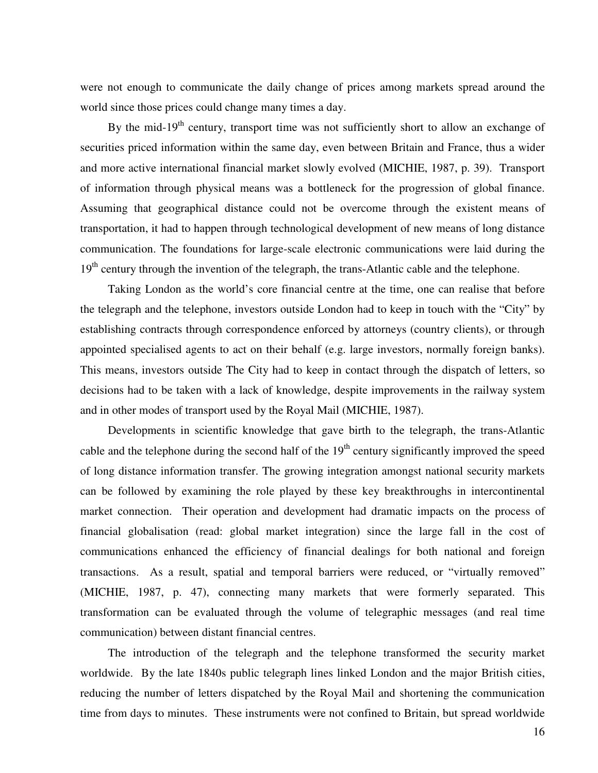were not enough to communicate the daily change of prices among markets spread around the world since those prices could change many times a day.

By the mid-19<sup>th</sup> century, transport time was not sufficiently short to allow an exchange of securities priced information within the same day, even between Britain and France, thus a wider and more active international financial market slowly evolved (MICHIE, 1987, p. 39). Transport of information through physical means was a bottleneck for the progression of global finance. Assuming that geographical distance could not be overcome through the existent means of transportation, it had to happen through technological development of new means of long distance communication. The foundations for large-scale electronic communications were laid during the 19<sup>th</sup> century through the invention of the telegraph, the trans-Atlantic cable and the telephone.

Taking London as the world's core financial centre at the time, one can realise that before the telegraph and the telephone, investors outside London had to keep in touch with the "City" by establishing contracts through correspondence enforced by attorneys (country clients), or through appointed specialised agents to act on their behalf (e.g. large investors, normally foreign banks). This means, investors outside The City had to keep in contact through the dispatch of letters, so decisions had to be taken with a lack of knowledge, despite improvements in the railway system and in other modes of transport used by the Royal Mail (MICHIE, 1987).

Developments in scientific knowledge that gave birth to the telegraph, the trans-Atlantic cable and the telephone during the second half of the  $19<sup>th</sup>$  century significantly improved the speed of long distance information transfer. The growing integration amongst national security markets can be followed by examining the role played by these key breakthroughs in intercontinental market connection. Their operation and development had dramatic impacts on the process of financial globalisation (read: global market integration) since the large fall in the cost of communications enhanced the efficiency of financial dealings for both national and foreign transactions. As a result, spatial and temporal barriers were reduced, or "virtually removed" (MICHIE, 1987, p. 47), connecting many markets that were formerly separated. This transformation can be evaluated through the volume of telegraphic messages (and real time communication) between distant financial centres.

The introduction of the telegraph and the telephone transformed the security market worldwide. By the late 1840s public telegraph lines linked London and the major British cities, reducing the number of letters dispatched by the Royal Mail and shortening the communication time from days to minutes. These instruments were not confined to Britain, but spread worldwide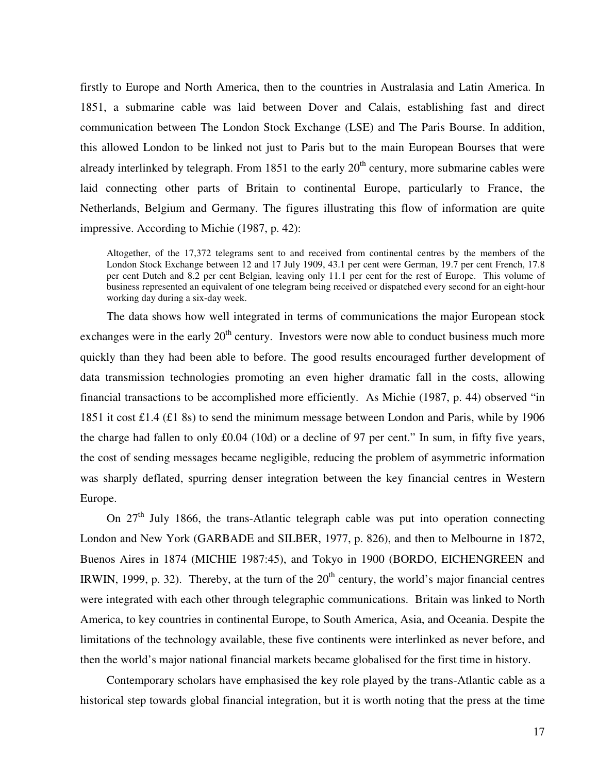firstly to Europe and North America, then to the countries in Australasia and Latin America. In 1851, a submarine cable was laid between Dover and Calais, establishing fast and direct communication between The London Stock Exchange (LSE) and The Paris Bourse. In addition, this allowed London to be linked not just to Paris but to the main European Bourses that were already interlinked by telegraph. From 1851 to the early  $20<sup>th</sup>$  century, more submarine cables were laid connecting other parts of Britain to continental Europe, particularly to France, the Netherlands, Belgium and Germany. The figures illustrating this flow of information are quite impressive. According to Michie (1987, p. 42):

Altogether, of the 17,372 telegrams sent to and received from continental centres by the members of the London Stock Exchange between 12 and 17 July 1909, 43.1 per cent were German, 19.7 per cent French, 17.8 per cent Dutch and 8.2 per cent Belgian, leaving only 11.1 per cent for the rest of Europe. This volume of business represented an equivalent of one telegram being received or dispatched every second for an eight-hour working day during a six-day week.

The data shows how well integrated in terms of communications the major European stock exchanges were in the early  $20<sup>th</sup>$  century. Investors were now able to conduct business much more quickly than they had been able to before. The good results encouraged further development of data transmission technologies promoting an even higher dramatic fall in the costs, allowing financial transactions to be accomplished more efficiently. As Michie (1987, p. 44) observed "in 1851 it cost £1.4 (£1 8s) to send the minimum message between London and Paris, while by 1906 the charge had fallen to only £0.04 (10d) or a decline of 97 per cent." In sum, in fifty five years, the cost of sending messages became negligible, reducing the problem of asymmetric information was sharply deflated, spurring denser integration between the key financial centres in Western Europe.

On  $27<sup>th</sup>$  July 1866, the trans-Atlantic telegraph cable was put into operation connecting London and New York (GARBADE and SILBER, 1977, p. 826), and then to Melbourne in 1872, Buenos Aires in 1874 (MICHIE 1987:45), and Tokyo in 1900 (BORDO, EICHENGREEN and IRWIN, 1999, p. 32). Thereby, at the turn of the  $20<sup>th</sup>$  century, the world's major financial centres were integrated with each other through telegraphic communications. Britain was linked to North America, to key countries in continental Europe, to South America, Asia, and Oceania. Despite the limitations of the technology available, these five continents were interlinked as never before, and then the world's major national financial markets became globalised for the first time in history.

Contemporary scholars have emphasised the key role played by the trans-Atlantic cable as a historical step towards global financial integration, but it is worth noting that the press at the time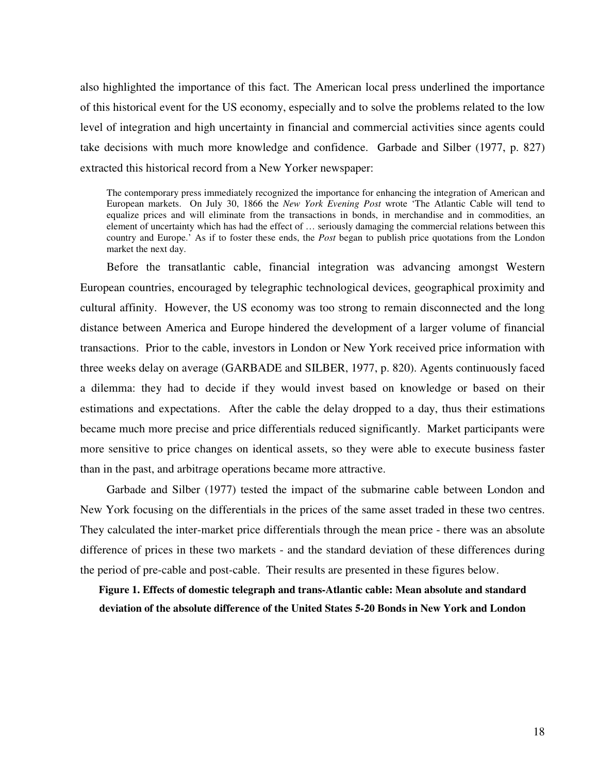also highlighted the importance of this fact. The American local press underlined the importance of this historical event for the US economy, especially and to solve the problems related to the low level of integration and high uncertainty in financial and commercial activities since agents could take decisions with much more knowledge and confidence. Garbade and Silber (1977, p. 827) extracted this historical record from a New Yorker newspaper:

The contemporary press immediately recognized the importance for enhancing the integration of American and European markets. On July 30, 1866 the *New York Evening Post* wrote 'The Atlantic Cable will tend to equalize prices and will eliminate from the transactions in bonds, in merchandise and in commodities, an element of uncertainty which has had the effect of … seriously damaging the commercial relations between this country and Europe.' As if to foster these ends, the *Post* began to publish price quotations from the London market the next day.

Before the transatlantic cable, financial integration was advancing amongst Western European countries, encouraged by telegraphic technological devices, geographical proximity and cultural affinity. However, the US economy was too strong to remain disconnected and the long distance between America and Europe hindered the development of a larger volume of financial transactions. Prior to the cable, investors in London or New York received price information with three weeks delay on average (GARBADE and SILBER, 1977, p. 820). Agents continuously faced a dilemma: they had to decide if they would invest based on knowledge or based on their estimations and expectations. After the cable the delay dropped to a day, thus their estimations became much more precise and price differentials reduced significantly. Market participants were more sensitive to price changes on identical assets, so they were able to execute business faster than in the past, and arbitrage operations became more attractive.

Garbade and Silber (1977) tested the impact of the submarine cable between London and New York focusing on the differentials in the prices of the same asset traded in these two centres. They calculated the inter-market price differentials through the mean price - there was an absolute difference of prices in these two markets - and the standard deviation of these differences during the period of pre-cable and post-cable. Their results are presented in these figures below.

**Figure 1. Effects of domestic telegraph and trans-Atlantic cable: Mean absolute and standard deviation of the absolute difference of the United States 5-20 Bonds in New York and London**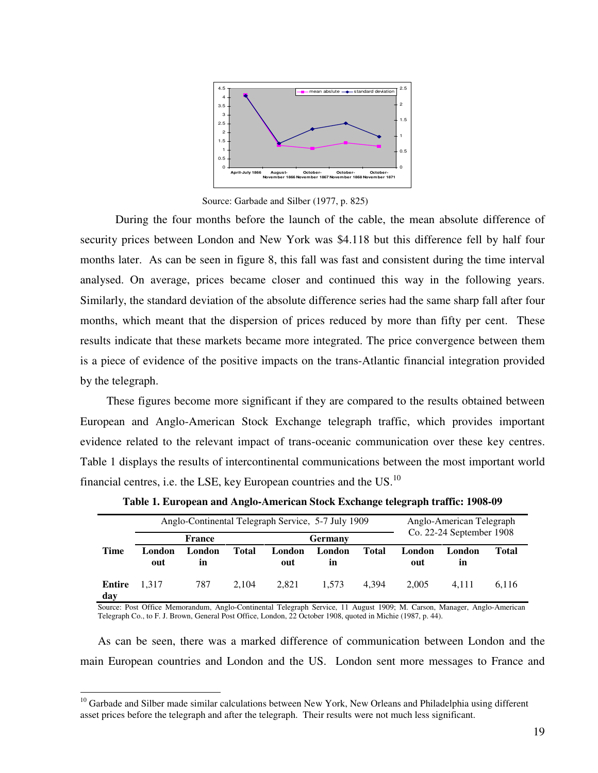

Source: Garbade and Silber (1977, p. 825)

During the four months before the launch of the cable, the mean absolute difference of security prices between London and New York was \$4.118 but this difference fell by half four months later. As can be seen in figure 8, this fall was fast and consistent during the time interval analysed. On average, prices became closer and continued this way in the following years. Similarly, the standard deviation of the absolute difference series had the same sharp fall after four months, which meant that the dispersion of prices reduced by more than fifty per cent. These results indicate that these markets became more integrated. The price convergence between them is a piece of evidence of the positive impacts on the trans-Atlantic financial integration provided by the telegraph.

These figures become more significant if they are compared to the results obtained between European and Anglo-American Stock Exchange telegraph traffic, which provides important evidence related to the relevant impact of trans-oceanic communication over these key centres. Table 1 displays the results of intercontinental communications between the most important world financial centres, i.e. the LSE, key European countries and the US. $^{10}$ 

|               | France        |              |              | Anglo-Continental Telegraph Service, 5-7 July 1909<br><b>Germany</b> |              |       | Anglo-American Telegraph<br>Co. 22-24 September 1908 |              |       |
|---------------|---------------|--------------|--------------|----------------------------------------------------------------------|--------------|-------|------------------------------------------------------|--------------|-------|
| Time          | London<br>out | London<br>in | <b>Total</b> | London<br>out                                                        | London<br>in | Total | London<br>out                                        | London<br>in | Total |
| Entire<br>day | 1.317         | 787          | 2.104        | 2.821                                                                | 1.573        | 4.394 | 2.005                                                | 4.111        | 6.116 |

**Table 1. European and Anglo-American Stock Exchange telegraph traffic: 1908-09** 

Source: Post Office Memorandum, Anglo-Continental Telegraph Service, 11 August 1909; M. Carson, Manager, Anglo-American Telegraph Co., to F. J. Brown, General Post Office, London, 22 October 1908, quoted in Michie (1987, p. 44).

As can be seen, there was a marked difference of communication between London and the main European countries and London and the US. London sent more messages to France and

<sup>&</sup>lt;sup>10</sup> Garbade and Silber made similar calculations between New York, New Orleans and Philadelphia using different asset prices before the telegraph and after the telegraph. Their results were not much less significant.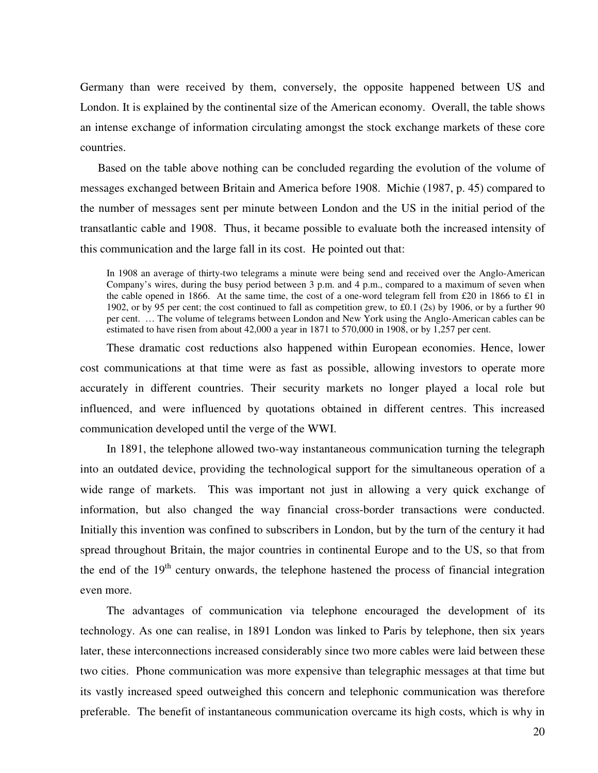Germany than were received by them, conversely, the opposite happened between US and London. It is explained by the continental size of the American economy. Overall, the table shows an intense exchange of information circulating amongst the stock exchange markets of these core countries.

Based on the table above nothing can be concluded regarding the evolution of the volume of messages exchanged between Britain and America before 1908. Michie (1987, p. 45) compared to the number of messages sent per minute between London and the US in the initial period of the transatlantic cable and 1908. Thus, it became possible to evaluate both the increased intensity of this communication and the large fall in its cost. He pointed out that:

In 1908 an average of thirty-two telegrams a minute were being send and received over the Anglo-American Company's wires, during the busy period between 3 p.m. and 4 p.m., compared to a maximum of seven when the cable opened in 1866. At the same time, the cost of a one-word telegram fell from £20 in 1866 to £1 in 1902, or by 95 per cent; the cost continued to fall as competition grew, to £0.1 (2s) by 1906, or by a further 90 per cent. … The volume of telegrams between London and New York using the Anglo-American cables can be estimated to have risen from about 42,000 a year in 1871 to 570,000 in 1908, or by 1,257 per cent.

These dramatic cost reductions also happened within European economies. Hence, lower cost communications at that time were as fast as possible, allowing investors to operate more accurately in different countries. Their security markets no longer played a local role but influenced, and were influenced by quotations obtained in different centres. This increased communication developed until the verge of the WWI.

In 1891, the telephone allowed two-way instantaneous communication turning the telegraph into an outdated device, providing the technological support for the simultaneous operation of a wide range of markets. This was important not just in allowing a very quick exchange of information, but also changed the way financial cross-border transactions were conducted. Initially this invention was confined to subscribers in London, but by the turn of the century it had spread throughout Britain, the major countries in continental Europe and to the US, so that from the end of the  $19<sup>th</sup>$  century onwards, the telephone hastened the process of financial integration even more.

The advantages of communication via telephone encouraged the development of its technology. As one can realise, in 1891 London was linked to Paris by telephone, then six years later, these interconnections increased considerably since two more cables were laid between these two cities. Phone communication was more expensive than telegraphic messages at that time but its vastly increased speed outweighed this concern and telephonic communication was therefore preferable. The benefit of instantaneous communication overcame its high costs, which is why in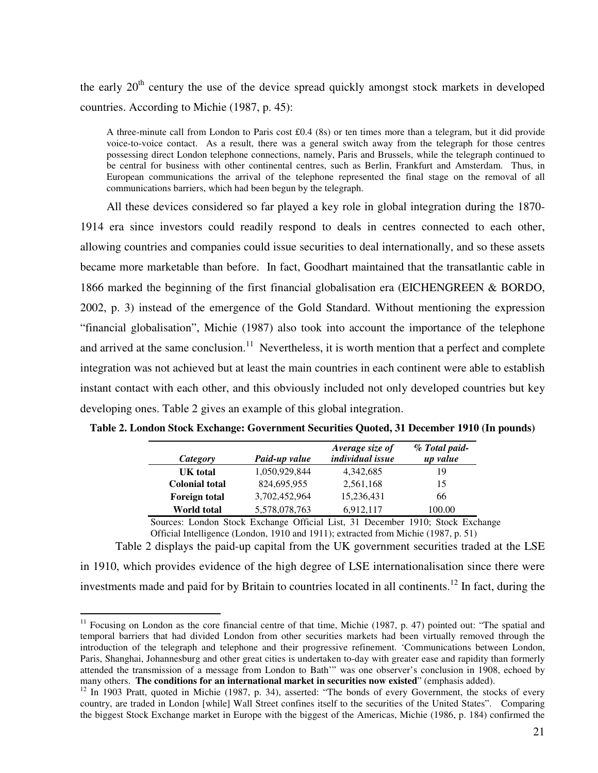the early  $20<sup>th</sup>$  century the use of the device spread quickly amongst stock markets in developed countries. According to Michie (1987, p. 45):

A three-minute call from London to Paris cost £0.4 (8s) or ten times more than a telegram, but it did provide voice-to-voice contact. As a result, there was a general switch away from the telegraph for those centres possessing direct London telephone connections, namely, Paris and Brussels, while the telegraph continued to be central for business with other continental centres, such as Berlin, Frankfurt and Amsterdam. Thus, in European communications the arrival of the telephone represented the final stage on the removal of all communications barriers, which had been begun by the telegraph.

All these devices considered so far played a key role in global integration during the 1870- 1914 era since investors could readily respond to deals in centres connected to each other, allowing countries and companies could issue securities to deal internationally, and so these assets became more marketable than before. In fact, Goodhart maintained that the transatlantic cable in 1866 marked the beginning of the first financial globalisation era (EICHENGREEN & BORDO, 2002, p. 3) instead of the emergence of the Gold Standard. Without mentioning the expression "financial globalisation", Michie (1987) also took into account the importance of the telephone and arrived at the same conclusion.<sup>11</sup> Nevertheless, it is worth mention that a perfect and complete integration was not achieved but at least the main countries in each continent were able to establish instant contact with each other, and this obviously included not only developed countries but key developing ones. Table 2 gives an example of this global integration.

| Category              | Paid-up value | Average size of<br><i>individual issue</i> | % Total paid-<br>up value |
|-----------------------|---------------|--------------------------------------------|---------------------------|
| UK total              | 1,050,929,844 | 4,342,685                                  | 19                        |
| <b>Colonial total</b> | 824,695,955   | 2,561,168                                  | 15                        |
| <b>Foreign total</b>  | 3,702,452,964 | 15,236,431                                 | 66                        |
| World total           | 5,578,078,763 | 6,912,117                                  | 100.00                    |

**Table 2. London Stock Exchange: Government Securities Quoted, 31 December 1910 (In pounds)** 

Sources: London Stock Exchange Official List, 31 December 1910; Stock Exchange Official Intelligence (London, 1910 and 1911); extracted from Michie (1987, p. 51)

Table 2 displays the paid-up capital from the UK government securities traded at the LSE in 1910, which provides evidence of the high degree of LSE internationalisation since there were investments made and paid for by Britain to countries located in all continents.<sup>12</sup> In fact, during the

 $11$  Focusing on London as the core financial centre of that time, Michie (1987, p. 47) pointed out: "The spatial and temporal barriers that had divided London from other securities markets had been virtually removed through the introduction of the telegraph and telephone and their progressive refinement. 'Communications between London, Paris, Shanghai, Johannesburg and other great cities is undertaken to-day with greater ease and rapidity than formerly attended the transmission of a message from London to Bath'" was one observer's conclusion in 1908, echoed by many others. **The conditions for an international market in securities now existed**" (emphasis added).

 $12$  In 1903 Pratt, quoted in Michie (1987, p. 34), asserted: "The bonds of every Government, the stocks of every country, are traded in London [while] Wall Street confines itself to the securities of the United States". Comparing the biggest Stock Exchange market in Europe with the biggest of the Americas, Michie (1986, p. 184) confirmed the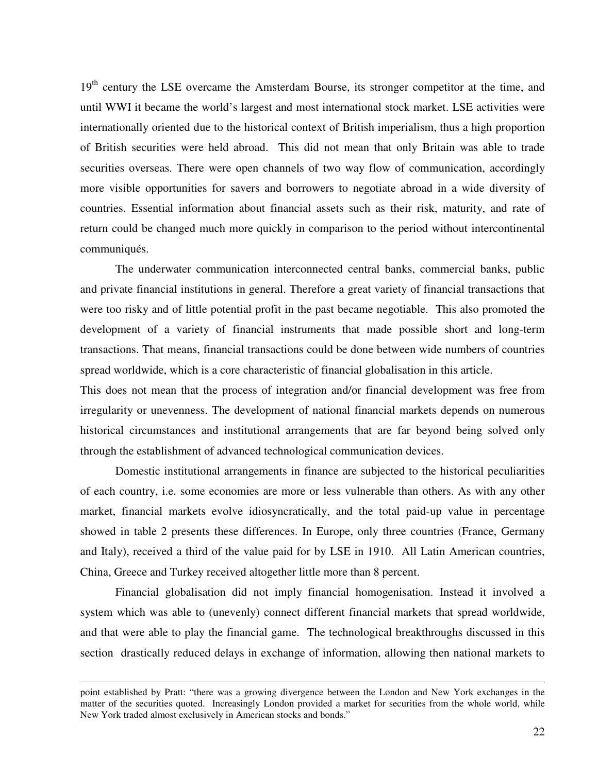19<sup>th</sup> century the LSE overcame the Amsterdam Bourse, its stronger competitor at the time, and until WWI it became the world's largest and most international stock market. LSE activities were internationally oriented due to the historical context of British imperialism, thus a high proportion of British securities were held abroad. This did not mean that only Britain was able to trade securities overseas. There were open channels of two way flow of communication, accordingly more visible opportunities for savers and borrowers to negotiate abroad in a wide diversity of countries. Essential information about financial assets such as their risk, maturity, and rate of return could be changed much more quickly in comparison to the period without intercontinental communiqués.

The underwater communication interconnected central banks, commercial banks, public and private financial institutions in general. Therefore a great variety of financial transactions that were too risky and of little potential profit in the past became negotiable. This also promoted the development of a variety of financial instruments that made possible short and long-term transactions. That means, financial transactions could be done between wide numbers of countries spread worldwide, which is a core characteristic of financial globalisation in this article.

This does not mean that the process of integration and/or financial development was free from irregularity or unevenness. The development of national financial markets depends on numerous historical circumstances and institutional arrangements that are far beyond being solved only through the establishment of advanced technological communication devices.

Domestic institutional arrangements in finance are subjected to the historical peculiarities of each country, i.e. some economies are more or less vulnerable than others. As with any other market, financial markets evolve idiosyncratically, and the total paid-up value in percentage showed in table 2 presents these differences. In Europe, only three countries (France, Germany and Italy), received a third of the value paid for by LSE in 1910. All Latin American countries, China, Greece and Turkey received altogether little more than 8 percent.

Financial globalisation did not imply financial homogenisation. Instead it involved a system which was able to (unevenly) connect different financial markets that spread worldwide, and that were able to play the financial game. The technological breakthroughs discussed in this section drastically reduced delays in exchange of information, allowing then national markets to

point established by Pratt: "there was a growing divergence between the London and New York exchanges in the matter of the securities quoted. Increasingly London provided a market for securities from the whole world, while New York traded almost exclusively in American stocks and bonds."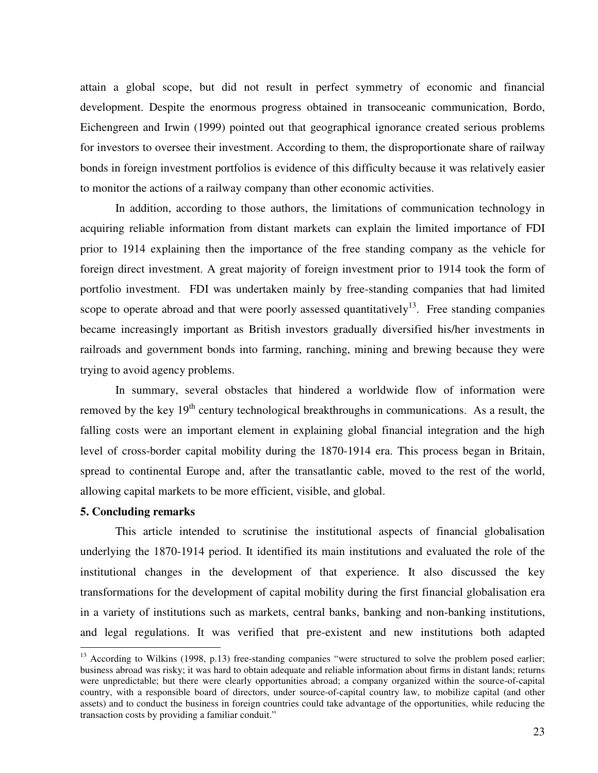attain a global scope, but did not result in perfect symmetry of economic and financial development. Despite the enormous progress obtained in transoceanic communication, Bordo, Eichengreen and Irwin (1999) pointed out that geographical ignorance created serious problems for investors to oversee their investment. According to them, the disproportionate share of railway bonds in foreign investment portfolios is evidence of this difficulty because it was relatively easier to monitor the actions of a railway company than other economic activities.

In addition, according to those authors, the limitations of communication technology in acquiring reliable information from distant markets can explain the limited importance of FDI prior to 1914 explaining then the importance of the free standing company as the vehicle for foreign direct investment. A great majority of foreign investment prior to 1914 took the form of portfolio investment. FDI was undertaken mainly by free-standing companies that had limited scope to operate abroad and that were poorly assessed quantitatively<sup>13</sup>. Free standing companies became increasingly important as British investors gradually diversified his/her investments in railroads and government bonds into farming, ranching, mining and brewing because they were trying to avoid agency problems.

In summary, several obstacles that hindered a worldwide flow of information were removed by the key  $19<sup>th</sup>$  century technological breakthroughs in communications. As a result, the falling costs were an important element in explaining global financial integration and the high level of cross-border capital mobility during the 1870-1914 era. This process began in Britain, spread to continental Europe and, after the transatlantic cable, moved to the rest of the world, allowing capital markets to be more efficient, visible, and global.

#### **5. Concluding remarks**

 $\overline{a}$ 

This article intended to scrutinise the institutional aspects of financial globalisation underlying the 1870-1914 period. It identified its main institutions and evaluated the role of the institutional changes in the development of that experience. It also discussed the key transformations for the development of capital mobility during the first financial globalisation era in a variety of institutions such as markets, central banks, banking and non-banking institutions, and legal regulations. It was verified that pre-existent and new institutions both adapted

 $13$  According to Wilkins (1998, p.13) free-standing companies "were structured to solve the problem posed earlier; business abroad was risky; it was hard to obtain adequate and reliable information about firms in distant lands; returns were unpredictable; but there were clearly opportunities abroad; a company organized within the source-of-capital country, with a responsible board of directors, under source-of-capital country law, to mobilize capital (and other assets) and to conduct the business in foreign countries could take advantage of the opportunities, while reducing the transaction costs by providing a familiar conduit."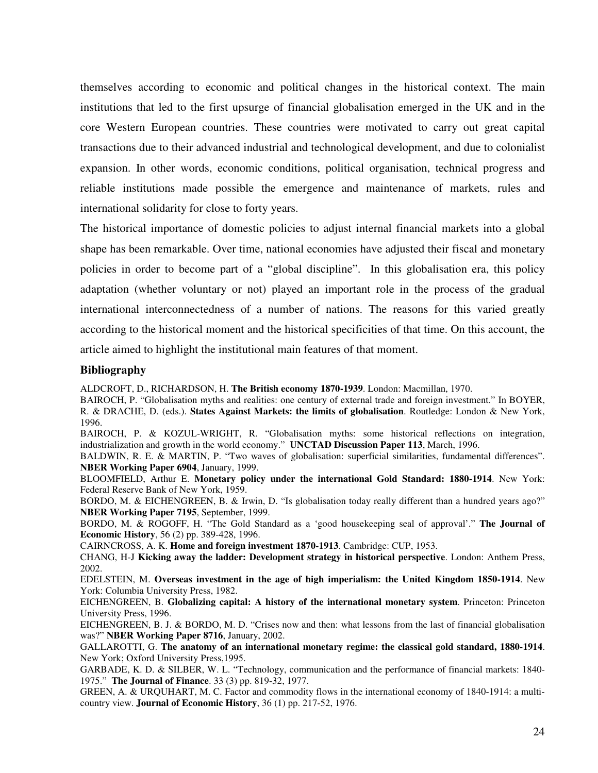themselves according to economic and political changes in the historical context. The main institutions that led to the first upsurge of financial globalisation emerged in the UK and in the core Western European countries. These countries were motivated to carry out great capital transactions due to their advanced industrial and technological development, and due to colonialist expansion. In other words, economic conditions, political organisation, technical progress and reliable institutions made possible the emergence and maintenance of markets, rules and international solidarity for close to forty years.

The historical importance of domestic policies to adjust internal financial markets into a global shape has been remarkable. Over time, national economies have adjusted their fiscal and monetary policies in order to become part of a "global discipline". In this globalisation era, this policy adaptation (whether voluntary or not) played an important role in the process of the gradual international interconnectedness of a number of nations. The reasons for this varied greatly according to the historical moment and the historical specificities of that time. On this account, the article aimed to highlight the institutional main features of that moment.

#### **Bibliography**

ALDCROFT, D., RICHARDSON, H. **The British economy 1870-1939**. London: Macmillan, 1970.

BAIROCH, P. "Globalisation myths and realities: one century of external trade and foreign investment." In BOYER, R. & DRACHE, D. (eds.). **States Against Markets: the limits of globalisation**. Routledge: London & New York, 1996.

BAIROCH, P. & KOZUL-WRIGHT, R. "Globalisation myths: some historical reflections on integration, industrialization and growth in the world economy." **UNCTAD Discussion Paper 113**, March, 1996.

BALDWIN, R. E. & MARTIN, P. "Two waves of globalisation: superficial similarities, fundamental differences". **NBER Working Paper 6904**, January, 1999.

BLOOMFIELD, Arthur E. **Monetary policy under the international Gold Standard: 1880-1914**. New York: Federal Reserve Bank of New York, 1959.

BORDO, M. & EICHENGREEN, B. & Irwin, D. "Is globalisation today really different than a hundred years ago?" **NBER Working Paper 7195**, September, 1999.

BORDO, M. & ROGOFF, H. "The Gold Standard as a 'good housekeeping seal of approval'." **The Journal of Economic History**, 56 (2) pp. 389-428, 1996.

CAIRNCROSS, A. K. **Home and foreign investment 1870-1913**. Cambridge: CUP, 1953.

CHANG, H-J **Kicking away the ladder: Development strategy in historical perspective**. London: Anthem Press, 2002.

EDELSTEIN, M. **Overseas investment in the age of high imperialism: the United Kingdom 1850-1914**. New York: Columbia University Press, 1982.

EICHENGREEN, B. **Globalizing capital: A history of the international monetary system**. Princeton: Princeton University Press, 1996.

EICHENGREEN, B. J. & BORDO, M. D. "Crises now and then: what lessons from the last of financial globalisation was?" **NBER Working Paper 8716**, January, 2002.

GALLAROTTI, G. **The anatomy of an international monetary regime: the classical gold standard, 1880-1914**. New York; Oxford University Press,1995.

GARBADE, K. D. & SILBER, W. L. "Technology, communication and the performance of financial markets: 1840- 1975." **The Journal of Finance**. 33 (3) pp. 819-32, 1977.

GREEN, A. & URQUHART, M. C. Factor and commodity flows in the international economy of 1840-1914: a multicountry view. **Journal of Economic History**, 36 (1) pp. 217-52, 1976.